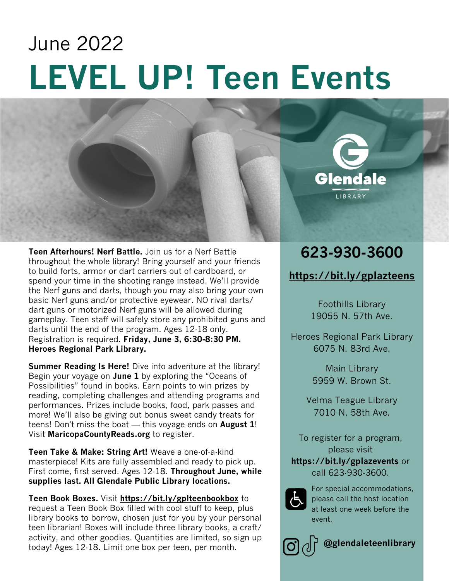# **LEVEL UP! Teen Events** June 2022



**Summer Reading Is Here!** Dive into adventure at the library! Begin your voyage on **June 1** by exploring the "Oceans of Possibilities" found in books. Earn points to win prizes by reading, completing challenges and attending programs and performances. Prizes include books, food, park passes and more! We'll also be giving out bonus sweet candy treats for teens! Don't miss the boat — this voyage ends on **August 1**! Visit **MaricopaCountyReads.org** to register.

**Teen Take & Make: String Art!** Weave a one-of-a-kind masterpiece! Kits are fully assembled and ready to pick up. First come, first served. Ages 12-18. **Throughout June, while supplies last. All Glendale Public Library locations.**

**Teen Book Boxes.** Visit **https://bit.ly/gplteenbookbox** to request a Teen Book Box filled with cool stuff to keep, plus library books to borrow, chosen just for you by your personal teen librarian! Boxes will include three library books, a craft/ activity, and other goodies. Quantities are limited, so sign up today! Ages 12-18. Limit one box per teen, per month.

## **623-930-3600**

**Glendale** 

LIBRARY

#### **https://bit.ly/gplazteens**

Foothills Library 19055 N. 57th Ave.

Heroes Regional Park Library 6075 N. 83rd Ave.

> Main Library 5959 W. Brown St.

Velma Teague Library 7010 N. 58th Ave.

To register for a program, please visit **https://bit.ly/gplazevents** or call 623-930-3600.



For special accommodations, please call the host location at least one week before the event.



**@glendaleteenlibrary**